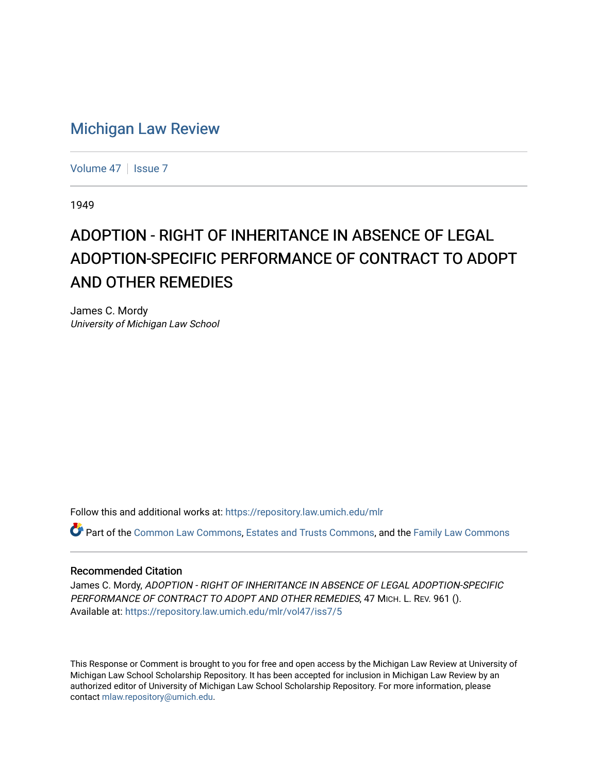# [Michigan Law Review](https://repository.law.umich.edu/mlr)

[Volume 47](https://repository.law.umich.edu/mlr/vol47) | [Issue 7](https://repository.law.umich.edu/mlr/vol47/iss7)

1949

# ADOPTION - RIGHT OF INHERITANCE IN ABSENCE OF LEGAL ADOPTION-SPECIFIC PERFORMANCE OF CONTRACT TO ADOPT AND OTHER REMEDIES

James C. Mordy University of Michigan Law School

Follow this and additional works at: [https://repository.law.umich.edu/mlr](https://repository.law.umich.edu/mlr?utm_source=repository.law.umich.edu%2Fmlr%2Fvol47%2Fiss7%2F5&utm_medium=PDF&utm_campaign=PDFCoverPages) 

Part of the [Common Law Commons,](http://network.bepress.com/hgg/discipline/1120?utm_source=repository.law.umich.edu%2Fmlr%2Fvol47%2Fiss7%2F5&utm_medium=PDF&utm_campaign=PDFCoverPages) [Estates and Trusts Commons,](http://network.bepress.com/hgg/discipline/906?utm_source=repository.law.umich.edu%2Fmlr%2Fvol47%2Fiss7%2F5&utm_medium=PDF&utm_campaign=PDFCoverPages) and the [Family Law Commons](http://network.bepress.com/hgg/discipline/602?utm_source=repository.law.umich.edu%2Fmlr%2Fvol47%2Fiss7%2F5&utm_medium=PDF&utm_campaign=PDFCoverPages)

#### Recommended Citation

James C. Mordy, ADOPTION - RIGHT OF INHERITANCE IN ABSENCE OF LEGAL ADOPTION-SPECIFIC PERFORMANCE OF CONTRACT TO ADOPT AND OTHER REMEDIES, 47 MICH. L. REV. 961 (). Available at: [https://repository.law.umich.edu/mlr/vol47/iss7/5](https://repository.law.umich.edu/mlr/vol47/iss7/5?utm_source=repository.law.umich.edu%2Fmlr%2Fvol47%2Fiss7%2F5&utm_medium=PDF&utm_campaign=PDFCoverPages)

This Response or Comment is brought to you for free and open access by the Michigan Law Review at University of Michigan Law School Scholarship Repository. It has been accepted for inclusion in Michigan Law Review by an authorized editor of University of Michigan Law School Scholarship Repository. For more information, please contact [mlaw.repository@umich.edu](mailto:mlaw.repository@umich.edu).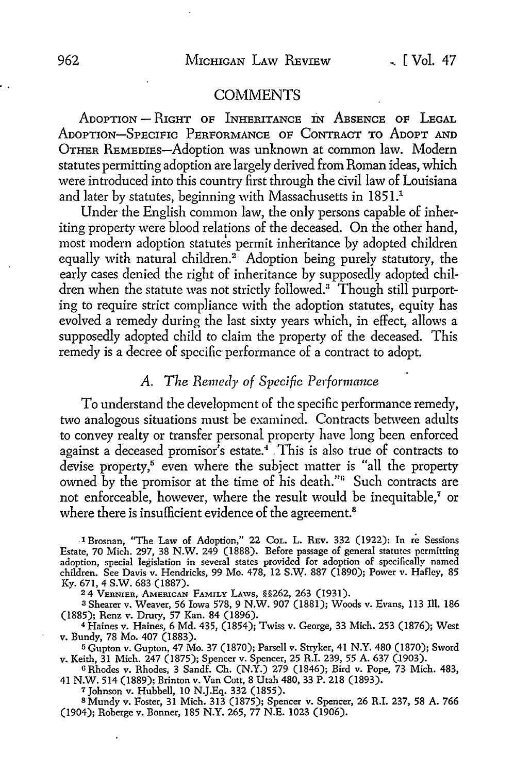#### **COMMENTS**

ADOPTION - RIGHT OF INHERITANCE IN ABSENCE OF LEGAL ADOPTION-SPECIFIC PERFORMANCE OF CONTRACT TO ADOPT AND OTHER REMEDIES-Adoption was unknown at common law. Modern statutes permitting adoption are largely derived from Roman ideas, which were introduced into this country first through the civil law of Louisiana and later by statutes, beginning with Massachusetts in 1851.<sup>1</sup>

Under the English common law, the only persons capable of inheriting property were blood relations of the deceased. On the other hand, most modern adoption statutes permit inheritance by adopted children equally with natural children.<sup>2</sup> Adoption being purely statutory, the early cases denied the right of inheritance by supposedly adopted children when the statute was not strictly followed.<sup>3</sup> Though still purporting to require strict compliance with the adoption statutes, equity has evolved a remedy during the last sixty years which, in effect, allows a supposedly adopted child to claim the property of the deceased. This remedy is a decree of specific performance of a contract to adopt.

## A. *The Remedy of Specific Performance*

To understand the development of the specific performance remedy, two analogous situations must be examined. Contracts between adults to convey realty or transfer personal property have long been enforced against a deceased promisor's estate.<sup>4</sup> This is also true of contracts to devise property,<sup>5</sup> even where the subject matter is "all the property owned by the promisor at the time of his death."<sup>6</sup> Such contracts are not enforceable, however, where the result would be inequitable,<sup>7</sup> or where there is insufficient evidence of the agreement.<sup>8</sup>

.1 Brosnan, "The Law of Adoption," 22 CoL. L. REV. 332 (1922): In re Sessions Estate, 70 Mich. 297, 38 N.W. 249 (1888). Before passage of general statutes permitting adoption, special legislation in several states provided for adoption of specifically named children. See Davis v. Hendricks, 99 Mo. 478, 12 S.W. 887 (1890); Power v. Hafley, 85 Ky. 671, 4 S.W. 683 (1887).

<sup>2</sup>4 VERNIER, AMERICAN FAMILY LAWS, §§262, 263 (1931).

<sup>3</sup>Shearer v. Weaver, 56 Iowa 578, 9 N.W. 907 (1881); Woods v. Evans, 113 Ill. 186 (1885); Renz v. Drury, 57 Kan. 84 (1896).

<sup>4</sup>Haines v. Haines, 6 Md. 435, (1854); Twiss v. George, 33 Mich. 253 (1876); West v. Bundy, 78 Mo. 407 (1883).

<sup>5</sup>Gupton v. Gupton, 47 Mo. 37 (1870); Parsell v. Stryker, 41 N.Y. 480 (1870); Sword v. Keith, 31 Mich. 247 (1875); Spencer v. Spencer, 25 R.I. 239, 55 A. 637 (1903).

o Rhodes v. Rhodes, 3 Sandf. Ch. (N.Y.) 279 (1846); Bird v. Pope, 73 Mich. 483, 41 N.W. 514 (1889); Brinton v. Van Cott, 8 Utah 480, 33 P. 218 (1893).

<sup>7</sup>Johnson v. Hubbell, 10 N.J.Eq. 332 (1855).

<sup>8</sup>Mundy v. Foster, 31 Mich. 313 (1875); Spencer v. Spencer, 26 R.I. 237, 58 A. 766 (1904); Roberge v. Bonner, 185 N.Y. 265, 77 N.E. 1023 (1906).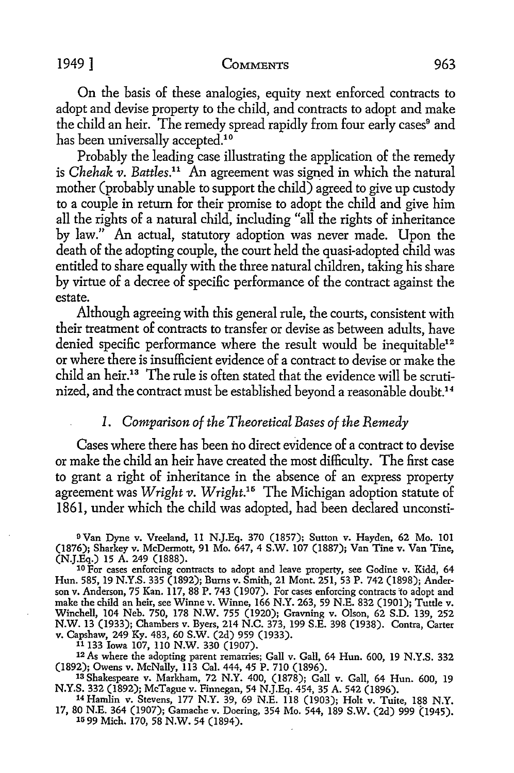#### 1949 ] COMMENTS 963

On the basis of these analogies, equity next enforced contracts to adopt and devise property to the child, and contracts to adopt and make the child an heir. The remedy spread rapidly from four early cases<sup>9</sup> and has been universally accepted.<sup>10</sup>

Probably the leading case illustrating the application of the remedy is *Chehak v. Battles*.<sup>11</sup> An agreement was signed in which the natural mother (probably unable to support the child) agreed to give up custody to a couple in return for their promise to adopt the child and give him all the rights of a natural child, including "all the rights of inheritance by law." An actual, statutory adoption was never made. Upon the death of the adopting couple, the court held the quasi-adopted child was entitled to share equally with the three natural children, taking his share by virtue of a decree of specific performance of the contract against the estate.

Although agreeing with this general rule, the courts, consistent with their treatment of contracts to transfer or devise as between adults, have denied specific performance where the result would be inequitable<sup>12</sup> or where there is insufficient evidence of a contract to devise or make the child an heir.13 The rule is often stated that the evidence will be scrutinized, and the contract must be established beyond a reasonable doubt.<sup>14</sup>

### *I. Comparison of the Theoretical Bases of the Remedy*

Cases where there has been no direct evidence of a contract to devise or make the child an heir have created the most difficulty. The first case to grant a right of inheritance in the absence of an express property agreement was *Wright v. Wright*.<sup>15</sup> The Michigan adoption statute of 1861, under which the child was adopted, had been declared unconsti-

<sup>9</sup> Van Dyne v. Vreeland, 11 N.J.Eq. 370 (1857); Sutton v. Hayden, 62 Mo. 101 (1876); Sharkey v. McDermott, 91 Mo. 647, 4 S.W. 107 (1887); Van Tine v. Van Tine, (N.J.Eq.) 15 A. 249 (1888).

<sup>10</sup> For cases enforcing contracts to adopt and leave property, see Godine v. Kidd, 64 Hun. 585, 19 N.Y.S. 335 (1892); Bums v. Smith, 21 Mont. 251, 53 P. 742 (1898); Anderson v. Anderson, 75 Kan. 117, 88 P. 743 (1907). For cases enforcing contracts 'to adopt and make the child an heir, see Winne v. Winne, 166 N.Y. 263, 59 N.E. 832 (1901); Tuttle v. Winchell, 104 Neb. 750, 178 N.W. 755 (1920); Gravning v. Olson, 62 S.D. 139, 252 N.W. 13 (1933); Chambers v. Byers, 214 N.C. 373, 199 S.E. 398 (1938). Contra, Carter v. Capshaw, 249 Ky. 483, 60 S.W. (2d) 959 (1933).

11133 Iowa 107, llO N.W. 330 (1907).

<sup>12</sup> As where the adopting parent remarries; Gall v. Gall, 64 Hun. 600, 19 N.Y.S. 332 (1892); Owens v. McNally, 113 Cal. 444, 45 P. 710 (1896).

13 Shakespeare v. Markham, 72 N.Y. 400, (1878); Gall v. Gall, 64 Hun. 600, 19 N.Y.S. 332 (1892); McTague v. Finnegan, 54 N.J.Eq. 454, 35 A. 542 (1896). 14 Hamlin v. Stevens, 177 N.Y. 39, 69 N.E. 118 (1903); Holt v. Tuite, 188 N.Y.

17, 80 N.E. 364 (1907); Garnache v. Doering, 354 Mo. 544, 189 S.W. (2d) 999 (1945). 1599 Mich. 170, 58 N.W. 54 (1894).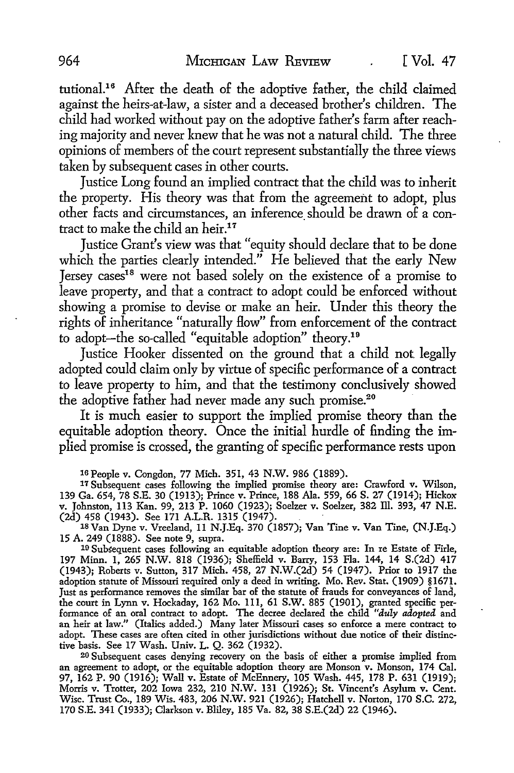tutional.<sup>16</sup> After the death of the adoptive father, the child claimed against the heirs-at-law, a sister and a deceased brother's children. The child had worked without pay on the adoptive father's farm after reaching majority and never knew that he was not a natural child. The three opinions of members of the court represent substantially the three views taken by subsequent cases in other courts.

Justice Long found an implied contract that the child was to inherit the property. His theory was that from the agreement to adopt, plus other facts and circumstances, an inference should be drawn of a contract to make the child an heir.<sup>17</sup>

Justice Grant's view was that "equity should declare that to be done which the parties clearly intended." He believed that the early New Jersey cases18 were not based solely on the existence of a promise to leave property, and that a contract to adopt could be enforced without showing a promise to devise or make an heir. Under this theory the rights of inheritance "naturally £low" from enforcement of the contract *to* adopt-the so-called "equitable adoption" theory.19

Justice Hooker dissented on the ground that a child not legally adopted could claim only by virtue of specific performance of a contract to leave property *to* him, and that the testimony conclusively showed the adoptive father had never made any such promise.<sup>20</sup>

It is much easier to support the implied promise theory than the equitable adoption theory. Once the initial hurdle of finding the implied promise is crossed, the granting of specific performance rests upon

16 People v. Congdon, 77 Mich. 351, 43 **N.W.** 986 (1889).

17 Subsequent cases following the implied promise theory are: Crawford v. Wilson, 139 Ga. 654, 78 S.E. 30 (1913); Prince v. Prince, 188 Ala. 559, 66 S. 27 (1914); Hickox v. Johnston, 113 Kan. 99, 213 P. 1060 (1923); Soelzer v. Soelzer, 382 lli. 393, 47 N.E. (2d) 458 (1943). See 171 A.L.R. 1315 (1947).

18 Van Dyne v. Vreeland, 11 N.J.Eq. 370 (1857); Van Tine v. Van Tine, (N.J.Eq.) 15 A. 249 (1888). See note 9, supra.

10 Subsequent cases following an equitable adoption theory are: In re Estate of Firle, 197 Minn. I, 265 N.W. 818 (1936); Sheffield v. Barry, 153 Fla. 144, 14 S.(2d) 417 (1943); Roberts v. Sutton, 317 Mich. 458, 27 N.W.(2d) 54 (1947). Prior to 1917 the adoption statute of Missouri required only a deed in writing. Mo. Rev. Stat. (1909) §167J. Just as performance removes the similar bar of the statute of frauds for conveyances of land, the court in Lynn v. Hockaday, 162 Mo. Ill, 61 S.W. 885 (1901), granted specific performance of an oral contract to adopt. The decree declared the child *"duly adopted* and an heir at law." (Italics added.) Many later Missouri cases so enforce a mere contract to adopt. These cases are often cited in other jurisdictions without due notice of their distinctive basis. See 17 Wash. Univ. L. Q. 362 (1932).

20 Subsequent cases denying recovery on the basis of either a promise implied from an agreement to adopt, or the equitable adoption theory are Monson v. Monson, 174 Cal. 97, 162 P. 90 (1916); Wall v. Estate of McEnnery, 105 Wash. 445, 178 P. 631 (1919); Morris v. Trotter, 202 Iowa 232, 210 N.W. 131 (1926); St. Vincent's Asylum v. Cent. Wisc. Trust Co., 189 Wis. 483, 206 N.W. 921 (1926); Hatchell v. Norton, 170 S.C. 272, 170 S.E. 341 (1933); Clarkson v. Bliley, 185 Va. 82, 38 S.E.(2d) 22 (1946).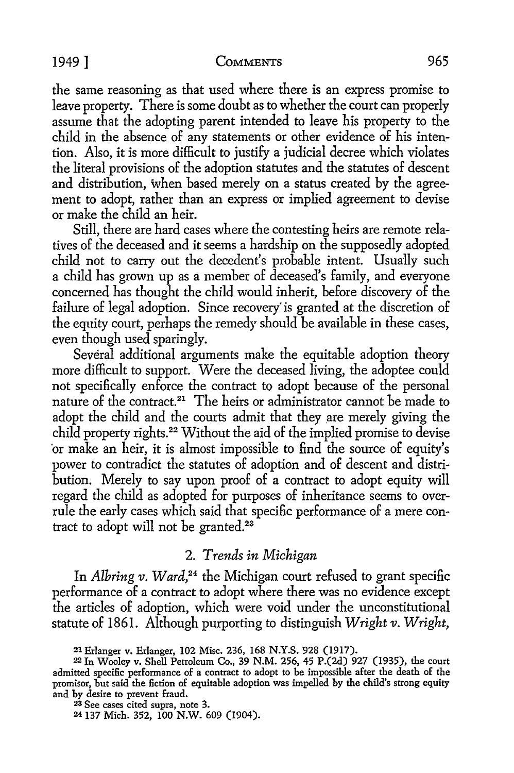#### 1949] COMMENTS 965

the same reasoning as that used where there is an express promise *to*  leave property. There is some doubt as to whether the court can properly assume that the adopting parent intended to leave his property *to* the child in the absence of any statements or other evidence of his intention. Also, it is more difficult to justify a judicial decree which violates the literal provisions of the adoption statutes and the statutes of descent and distribution, when based merely on a status created by the agreement to adopt, rather than an express or implied agreement to devise or make the child an heir.

Still, there are hard cases where the contesting heirs are remote relatives of the deceased and it seems a hardship on the supposedly adopted child not to carry out the decedent's probable intent. Usually such a child has grown up as a member of deceased's family, and everyone concerned has thought the child would inherit, before discovery of the failure of legal adoption. Since recovery is granted at the discretion of the equity court, perhaps the remedy should be available in these cases, even though used sparingly.

Several additional arguments make the equitable adoption theory more difficult to support. Were the deceased living, the adoptee could not specifically enforce the contract to adopt because of the personal nature of the contract.21 The heirs or administrator cannot be made *to*  adopt the child and the courts admit that they are merely giving the child property rights.22 Without the aid of the implied promise *to* devise ·or make an heir, it is almost impossible *to* find the source of equity's power to contradict the statutes of adoption and of descent and distribution. Merely *to* say upon proof of a contract *to* adopt equity will regard the child as adopted for purposes of inheritance seems *to* overrule the early cases which said that specific performance of a mere contract to adopt will not be granted.<sup>23</sup>

# 2. *Trends in Michigan*

In *Albring v. Ward,24* the Michigan court refused *to* grant specific performance of a contract to adopt where there was no evidence except the articles of adoption, which were void under the unconstitutional statute of 1861. Although purporting to distinguish *Wright v. Wright,* 

23 See cases cited supra, note 3.

24 137 Mich. 352, 100 N.W. 609 (1904).

<sup>21</sup> Erlanger v. Erlanger, 102 Misc. 236, 168 N.Y.S. 928 (1917).

<sup>22</sup> In Wooley v. Shell Petroleum Co., 39 **N.M.** 256, 45 P.(2d) 927 (1935), the court admitted specific performance of a contract to adopt to be impossible after the death of the promiser, but said the fiction of equitable adoption was impelled by the child's strong equity and by desire to prevent fraud.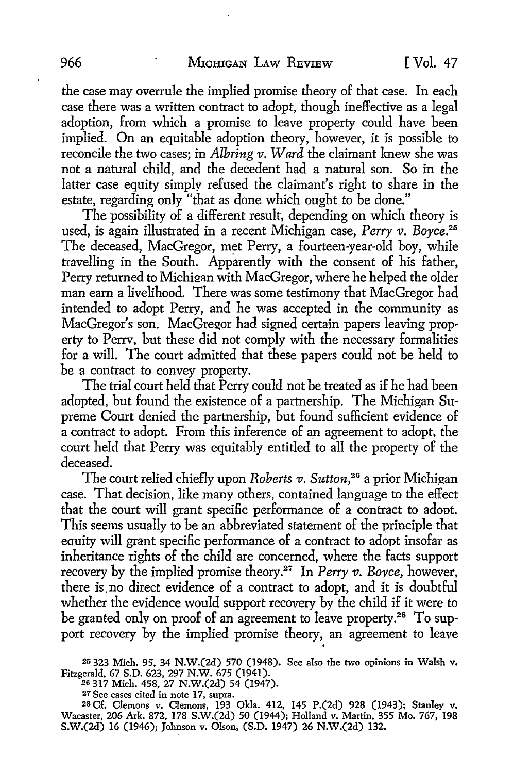the case may overrule the implied promise theory of that case. In each case there was a written contract to adopt, though ineffective as a legal adoption, from which a promise to leave property could have been implied. On an equitable adoption theory, however, it is possible to reconcile the two cases; in *Alhring v. Ward* the claimant knew she was not a natural child, and the decedent had a natural son. So in the latter case equity simply refused the claimant's right to share in the estate, regarding only "that as done which ought to be done."

The possibility of a different result, depending on which theory is used, is again illustrated in a recent Michigan case, *Perry v. Boyce.25*  The deceased, MacGregor, met Perry, a fourteen-year-old boy, while travelling in the South. Apparently with the consent of his father, Perry returned to Michigan with MacGregor, where he helped the older man earn a livelihood. There was some testimony that MacGregor had intended to adopt Perry, and he was accepted in the community as MacGregor's son. MacGregor had signed certain papers leaving property to Perrv, but these did not comply with the necessary formalities for a will. The court admitted that these papers could not be held to be a contract to convey property.

The trial court held that Perry could not be treated as if he had been adopted, but found the existence of a partnership. The Michigan Supreme Court denied the partnership, but found sufficient evidence of a contract to adopt. From this inference of an agreement to adopt, the court held that Perry was equitably entitled to all the property of the deceased.

The court relied chiefly upon *Roberts v. Sutton,26* a prior Michigan case. That decision, like many others, contained language to the effect that the court will grant specific performance of a contract to adoot. This seems usually to be an abbreviated statement of the principle that eauity will grant specific performance of a contract to adopt insofar as inheritance rights of the child are concerned, where the facts support recovery by the implied promise theory.<sup>2</sup> ' In *Perry v. Bovee,* however, there is.no direct evidence of a contract to adopt, and it is doubtful whether the evidence would support recovery by the child if it were to be granted only on proof of an agreement to leave property.<sup>28</sup> To support recovery by the implied promise theory, an agreement to leave

25 323 Mich. 95, 34 N.W.(2d) 570 (1948). See also the two opinions in Walsh v.

Fitzgerald, 67 S.D. 623, 297 N.W. 675 (1941). 20 317 Mich. 458, 27 N.W.(2d) 54 (1947).

27 See cases cited in note 17, supra.

<sup>28</sup>Cf. Clemons v. Clemons, 193 Okla. 412, 145 P.(2d) 928 (1943); Stanley v. Wacaster, 206 Ark. 872, 178 S.W.(2d) 50 (1944); Holland v. Martin, 355 Mo. 767, 198 S.W.(2d) 16 (1946); Johnson v. Olson, (S.D. 1947) 26 N.W.(2d) 132.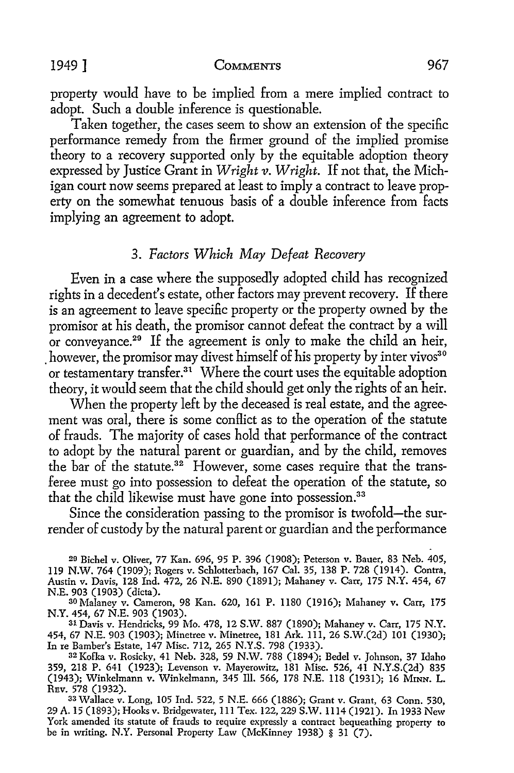1949] COMMENTS 967

property would have to be implied from a mere implied contract to adopt. Such a double inference is questionable.

Taken together, the cases seem to show an extension of the specific performance remedy from the firmer ground of the implied promise theory to a recovery supported only by the equitable adoption theory expressed by Justice Grant in *Wright v. Wright.* If not that, the Michigan court now seems prepared at least to imply a contract to leave property on the somewhat tenuous basis of a double inference from facts implying an agreement to adopt.

#### 3. *Factors Which May Defeat Recovery*

Even in a case where the supposedly adopted child has recognized rights in a decedent's estate, other factors may prevent recovery. If there is an agreement to leave specific property or the property owned by the promisor at his death, the promisor cannot defeat the contract by a will or conveyance.<sup>29</sup> If the agreement is only to make the child an heir, however, the promisor may divest himself of his property by inter vivos<sup>30</sup> or testamentary transfer.<sup>31</sup> Where the court uses the equitable adoption theory, it would seem that the child should get only the rights of an heir.

When the property left by the deceased is real estate, and the agreement was oral, there is some conflict as to the operation of the statute of frauds. The majority of cases hold that performance of the contract to adopt by the natural parent or guardian, and by the child, removes the bar of the statute.<sup>32</sup> However, some cases require that the transferee must go into possession to defeat the operation of the statute, so that the child likewise must have gone into possession.<sup>33</sup>

Since the consideration passing to the promisor is twofold-the surrender of custody by the natural parent or guardian and the performance

29 Bichel v. Oliver, 77 Kan. 696, 95 P. 396 (1908); Peterson v. Bauer, 83 Neb. 405, ll9 N.W. 764 (1909); Rogers v. Schlotterbach, 167 Cal. 35, 138 P. 728 (1914). Contra, Austin v. Davis, 128 Ind. 472, 26 N.E. 890 (1891); Mahaney v. Carr, 175 N.Y. 454, 67 N.E. 903 (1903) (dicta).

30 Malaney v. Cameron, 98 Kan. 620, 161 P. 1180 (1916); Mahaney v. Carr, 175 N.Y. 454, 67 N.E. 903 (1903).

31 Davis v. Hendricks, 99 Mo. 478, 12 S.W. 887 (1890); Mahaney v. Carr, 175 N.Y. 454, 67 N.E. 903 (1903); Minetree v. Minetree, 181 Ark. 111, 26 S.W.(2d) 101 (1930); In re Bamber's Estate, 147 Misc. 712, 265 N.Y.S. 798 (1933).

32 Kofka v. Rosicky, 41 Neb. 328, 59 N.W. 788 (1894); Bedel v. Johnson, 37 Idaho 359, 218 P. 641 (1923); Levenson v. Mayerowitz, 181 Misc. 526, 41 N.Y.S.(2d) 835 (1943); Winkelmann v. Winkelmann, 345 Ill. 566, 178 N.E. 118 (1931); 16 MINN. L.

33 Wallace v. Long, 105 Ind. 522, 5 N.E. 666 (1886); Grant v. Grant, 63 Conn. 530, 29 A. 15 (1893); Hooks v. Bridgewater, 111 Tex. 122,229 S.W. 1114 (1921). In 1933 New York amended its statute of frauds to require expressly a contract bequeathing property to be in writing. N.Y. Personal Property Law (McKinney 1938) § 31 (7).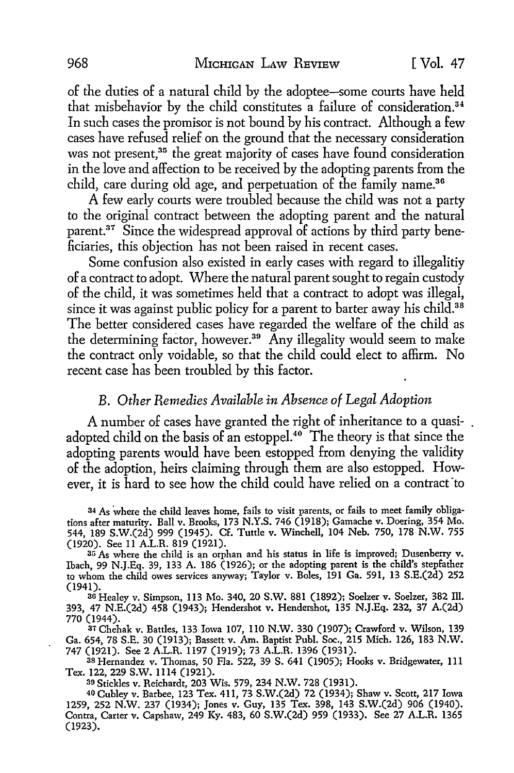of the duties of a natural child by the adoptee-some courts have held that misbehavior by the child constitutes a failure of consideration.<sup>34</sup> In such cases the promisor is not bound by his contract. Although a few cases have refused relief on the ground that the necessary consideration was not present,<sup>35</sup> the great majority of cases have found consideration in the love and affection to be received by the adopting parents from the child, care during old age, and perpetuation of the family name.<sup>36</sup>

A few early courts were troubled because the child was not a party to the original contract between the adopting parent and the natural parent.37 Since the widespread approval of actions by third party beneficiaries, this objection has not been raised in recent cases.

Some confusion also existed in early cases with regard to illegalitiy of a contract to adopt. Where the natural parent sought to regain custody of the child, it was sometimes held that a contract to adopt was illegal, since it was against public policy for a parent to barter away his child.<sup>38</sup> The better considered cases have regarded the welfare of the child as the determining factor, however.<sup>39</sup> Any illegality would seem to make the contract only voidable, so that the child could elect to affirm. No recent case has been troubled by this factor.

#### B. *Other Remedies Available in Absence of Legal Adoption*

A number of cases have granted the right of inheritance to a quasiadopted child on the basis of an estoppel.<sup>40</sup> The theory is that since the adopting parents would have been estopped from denying the validity of the adoption, heirs claiming through them are also estopped. However, it is hard to see how the child could have relied on a contract to

34 As where the child leaves home, fails to visit parents, or fails to meet family obligations after maturity. Ball v. Brooks, 173 N.Y.S. 746 (1918); Garnache v. Doering, 354 Mo. 544, 189 S.W.(2d) 999 (1945). Cf. Tuttle v. Winchell, 104 Neb. 750, 178 N.W. 755 (1920). See 11 A.LR. 819 (1921).

35 As where the child is an orphan and his status in life is improved; Dusenberry v. Ibach, 99 N.J.Eq. 39, 133 A. 186 (1926); or the adopting parent is the child's stepfather to whom the child owes services anyway; Taylor v. Boles, 191 Ga. 591, 13 S.E.(2d) 252 (1941).

<sup>36</sup>Healey v. Simpson, I 13 Mo. 340, 20 S.W. 881 (1892); Soelzer v. Soelzer, 382 Ill. 393, 47 N.E.(2d) 458 (1943); Hendershot v. Hendershot, 135 N.J.Eq. 232, 37 A.(2d) 770 (1944).

<sup>37</sup>Chehak v. Battles, 133 Iowa 107, ll0 N.W. 330 (1907); Crawford v. Wilson, 139 Ga. 654, 78 S.E. 30 (1913); Bassett v. Arn. Baptist Puhl. Soc., 215 Mich. 126, 183 N.W. 747 (1921). See 2 A.LR. ll97 (1919); 73 A.LR. 1396 (1931).

38 Hernandez v. Thomas, 50 Fla. 522, 39 S. 641 (1905); Hooks v. Bridgewater, Ill Tex. 122, 229 S.W. 1114 (1921).

39 Stickles v. Reichardt, 203 Wis. 579, 234 N.W. 728 (1931).

40 Cubley v. Barbee, 123 Tex. 411, 73 S.W.(2d) 72 (1934); Shaw v. Scott, 217 Iowa 1259, 252 N.W. 237 (1934); Jones v. Guy, 135 Tex. 398, 143 S.W.(2d) 906 (1940). Contra, Carter v. Capshaw, 249 Ky. 483, 60 S.W.(2d) 959 (1933). See 27 A.LR. 1365 (1923).